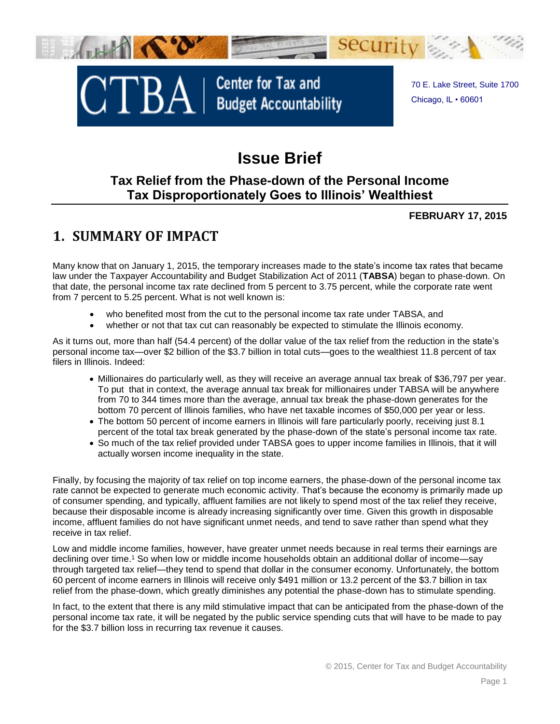

# **Issue Brief**

### **Tax Relief from the Phase-down of the Personal Income Tax Disproportionately Goes to Illinois' Wealthiest**

#### **FEBRUARY 17, 2015**

### **1. SUMMARY OF IMPACT**

Many know that on January 1, 2015, the temporary increases made to the state's income tax rates that became law under the Taxpayer Accountability and Budget Stabilization Act of 2011 (**TABSA**) began to phase-down. On that date, the personal income tax rate declined from 5 percent to 3.75 percent, while the corporate rate went from 7 percent to 5.25 percent. What is not well known is:

- who benefited most from the cut to the personal income tax rate under TABSA, and
- whether or not that tax cut can reasonably be expected to stimulate the Illinois economy.

As it turns out, more than half (54.4 percent) of the dollar value of the tax relief from the reduction in the state's personal income tax—over \$2 billion of the \$3.7 billion in total cuts—goes to the wealthiest 11.8 percent of tax filers in Illinois. Indeed:

- Millionaires do particularly well, as they will receive an average annual tax break of \$36,797 per year. To put that in context, the average annual tax break for millionaires under TABSA will be anywhere from 70 to 344 times more than the average, annual tax break the phase-down generates for the bottom 70 percent of Illinois families, who have net taxable incomes of \$50,000 per year or less.
- The bottom 50 percent of income earners in Illinois will fare particularly poorly, receiving just 8.1 percent of the total tax break generated by the phase-down of the state's personal income tax rate.
- So much of the tax relief provided under TABSA goes to upper income families in Illinois, that it will actually worsen income inequality in the state.

Finally, by focusing the majority of tax relief on top income earners, the phase-down of the personal income tax rate cannot be expected to generate much economic activity. That's because the economy is primarily made up of consumer spending, and typically, affluent families are not likely to spend most of the tax relief they receive, because their disposable income is already increasing significantly over time. Given this growth in disposable income, affluent families do not have significant unmet needs, and tend to save rather than spend what they receive in tax relief.

Low and middle income families, however, have greater unmet needs because in real terms their earnings are declining over time.<sup>1</sup> So when low or middle income households obtain an additional dollar of income—say through targeted tax relief—they tend to spend that dollar in the consumer economy. Unfortunately, the bottom 60 percent of income earners in Illinois will receive only \$491 million or 13.2 percent of the \$3.7 billion in tax relief from the phase-down, which greatly diminishes any potential the phase-down has to stimulate spending.

In fact, to the extent that there is any mild stimulative impact that can be anticipated from the phase-down of the personal income tax rate, it will be negated by the public service spending cuts that will have to be made to pay for the \$3.7 billion loss in recurring tax revenue it causes.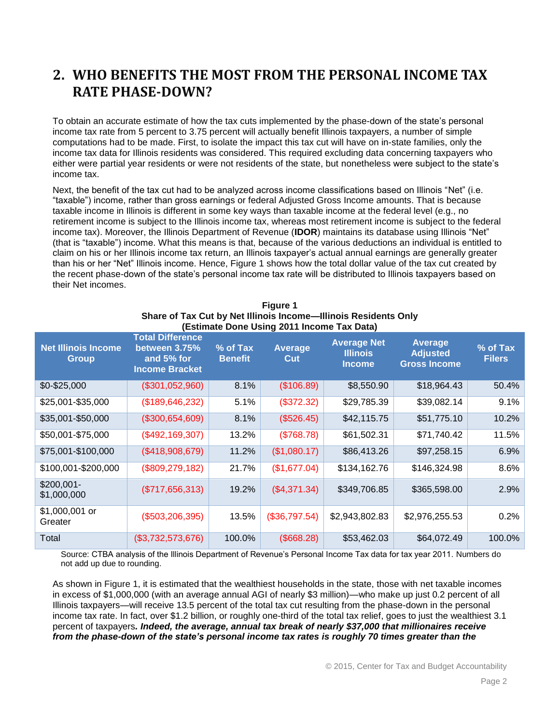### **2. WHO BENEFITS THE MOST FROM THE PERSONAL INCOME TAX RATE PHASE-DOWN?**

To obtain an accurate estimate of how the tax cuts implemented by the phase-down of the state's personal income tax rate from 5 percent to 3.75 percent will actually benefit Illinois taxpayers, a number of simple computations had to be made. First, to isolate the impact this tax cut will have on in-state families, only the income tax data for Illinois residents was considered. This required excluding data concerning taxpayers who either were partial year residents or were not residents of the state, but nonetheless were subject to the state's income tax.

Next, the benefit of the tax cut had to be analyzed across income classifications based on Illinois "Net" (i.e. "taxable") income, rather than gross earnings or federal Adjusted Gross Income amounts. That is because taxable income in Illinois is different in some key ways than taxable income at the federal level (e.g., no retirement income is subject to the Illinois income tax, whereas most retirement income is subject to the federal income tax). Moreover, the Illinois Department of Revenue (**IDOR**) maintains its database using Illinois "Net" (that is "taxable") income. What this means is that, because of the various deductions an individual is entitled to claim on his or her Illinois income tax return, an Illinois taxpayer's actual annual earnings are generally greater than his or her "Net" Illinois income. Hence, Figure 1 shows how the total dollar value of the tax cut created by the recent phase-down of the state's personal income tax rate will be distributed to Illinois taxpayers based on their Net incomes.

| <b>Net Illinois Income</b><br><b>Group</b> | <b>Total Difference</b><br>between 3.75%<br>and 5% for<br><b>Income Bracket</b> | % of Tax<br><b>Benefit</b> | <b>Average</b><br>Cut | <b>Average Net</b><br><b>Illinois</b><br><b>Income</b> | <b>Average</b><br><b>Adjusted</b><br><b>Gross Income</b> | % of Tax<br><b>Filers</b> |
|--------------------------------------------|---------------------------------------------------------------------------------|----------------------------|-----------------------|--------------------------------------------------------|----------------------------------------------------------|---------------------------|
| $$0 - $25,000$                             | (\$301,052,960)                                                                 | 8.1%                       | (\$106.89)            | \$8,550.90                                             | \$18,964.43                                              | 50.4%                     |
| \$25,001-\$35,000                          | (\$189,646,232)                                                                 | 5.1%                       | (\$372.32)            | \$29,785.39                                            | \$39,082.14                                              | 9.1%                      |
| \$35,001-\$50,000                          | (\$300,654,609)                                                                 | 8.1%                       | (\$526.45)            | \$42,115.75                                            | \$51,775.10                                              | 10.2%                     |
| \$50,001-\$75,000                          | (\$492,169,307)                                                                 | 13.2%                      | (\$768.78)            | \$61,502.31                                            | \$71,740.42                                              | 11.5%                     |
| \$75,001-\$100,000                         | (\$418,908,679)                                                                 | 11.2%                      | (\$1,080.17)          | \$86,413.26                                            | \$97,258.15                                              | 6.9%                      |
| \$100,001-\$200,000                        | (\$809, 279, 182)                                                               | 21.7%                      | (\$1,677.04)          | \$134,162.76                                           | \$146,324.98                                             | 8.6%                      |
| $$200,001-$<br>\$1,000,000                 | (\$717,656,313)                                                                 | 19.2%                      | (\$4,371.34)          | \$349,706.85                                           | \$365,598.00                                             | 2.9%                      |
| \$1,000,001 or<br>Greater                  | (\$503, 206, 395)                                                               | 13.5%                      | (\$36,797.54)         | \$2,943,802.83                                         | \$2,976,255.53                                           | 0.2%                      |
| Total                                      | (\$3,732,573,676)                                                               | 100.0%                     | (\$668.28)            | \$53,462.03                                            | \$64,072.49                                              | 100.0%                    |

#### **Figure 1 Share of Tax Cut by Net Illinois Income—Illinois Residents Only (Estimate Done Using 2011 Income Tax Data)**

Source: CTBA analysis of the Illinois Department of Revenue's Personal Income Tax data for tax year 2011. Numbers do not add up due to rounding.

As shown in Figure 1, it is estimated that the wealthiest households in the state, those with net taxable incomes in excess of \$1,000,000 (with an average annual AGI of nearly \$3 million)—who make up just 0.2 percent of all Illinois taxpayers—will receive 13.5 percent of the total tax cut resulting from the phase-down in the personal income tax rate. In fact, over \$1.2 billion, or roughly one-third of the total tax relief, goes to just the wealthiest 3.1 percent of taxpayers*. Indeed, the average, annual tax break of nearly \$37,000 that millionaires receive from the phase-down of the state's personal income tax rates is roughly 70 times greater than the*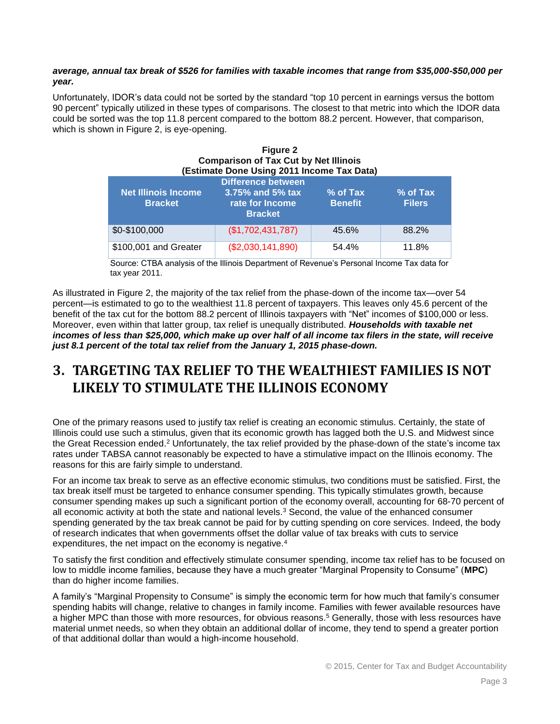#### *average, annual tax break of \$526 for families with taxable incomes that range from \$35,000-\$50,000 per year.*

Unfortunately, IDOR's data could not be sorted by the standard "top 10 percent in earnings versus the bottom 90 percent" typically utilized in these types of comparisons. The closest to that metric into which the IDOR data could be sorted was the top 11.8 percent compared to the bottom 88.2 percent. However, that comparison, which is shown in Figure 2, is eye-opening.

**Figure 2**

| <b>Figure</b> 2<br><b>Comparison of Tax Cut by Net Illinois</b><br>(Estimate Done Using 2011 Income Tax Data) |                                                                                       |                            |                           |  |
|---------------------------------------------------------------------------------------------------------------|---------------------------------------------------------------------------------------|----------------------------|---------------------------|--|
| <b>Net Illinois Income</b><br><b>Bracket</b>                                                                  | <b>Difference between</b><br>$3.75\%$ and 5% tax<br>rate for Income<br><b>Bracket</b> | % of Tax<br><b>Benefit</b> | % of Tax<br><b>Filers</b> |  |
| \$0-\$100,000                                                                                                 | (\$1,702,431,787)                                                                     | 45.6%                      | 88.2%                     |  |
| \$100,001 and Greater                                                                                         | (\$2,030,141,890)                                                                     | 54.4%                      | 11.8%                     |  |

Source: CTBA analysis of the Illinois Department of Revenue's Personal Income Tax data for tax year 2011.

As illustrated in Figure 2, the majority of the tax relief from the phase-down of the income tax—over 54 percent—is estimated to go to the wealthiest 11.8 percent of taxpayers. This leaves only 45.6 percent of the benefit of the tax cut for the bottom 88.2 percent of Illinois taxpayers with "Net" incomes of \$100,000 or less. Moreover, even within that latter group, tax relief is unequally distributed. *Households with taxable net incomes of less than \$25,000, which make up over half of all income tax filers in the state, will receive just 8.1 percent of the total tax relief from the January 1, 2015 phase-down.*

### **3. TARGETING TAX RELIEF TO THE WEALTHIEST FAMILIES IS NOT LIKELY TO STIMULATE THE ILLINOIS ECONOMY**

One of the primary reasons used to justify tax relief is creating an economic stimulus. Certainly, the state of Illinois could use such a stimulus, given that its economic growth has lagged both the U.S. and Midwest since the Great Recession ended.<sup>2</sup> Unfortunately, the tax relief provided by the phase-down of the state's income tax rates under TABSA cannot reasonably be expected to have a stimulative impact on the Illinois economy. The reasons for this are fairly simple to understand.

For an income tax break to serve as an effective economic stimulus, two conditions must be satisfied. First, the tax break itself must be targeted to enhance consumer spending. This typically stimulates growth, because consumer spending makes up such a significant portion of the economy overall, accounting for 68-70 percent of all economic activity at both the state and national levels.<sup>3</sup> Second, the value of the enhanced consumer spending generated by the tax break cannot be paid for by cutting spending on core services. Indeed, the body of research indicates that when governments offset the dollar value of tax breaks with cuts to service expenditures, the net impact on the economy is negative.<sup>4</sup>

To satisfy the first condition and effectively stimulate consumer spending, income tax relief has to be focused on low to middle income families, because they have a much greater "Marginal Propensity to Consume" (**MPC**) than do higher income families.

A family's "Marginal Propensity to Consume" is simply the economic term for how much that family's consumer spending habits will change, relative to changes in family income. Families with fewer available resources have a higher MPC than those with more resources, for obvious reasons. <sup>5</sup> Generally, those with less resources have material unmet needs, so when they obtain an additional dollar of income, they tend to spend a greater portion of that additional dollar than would a high-income household.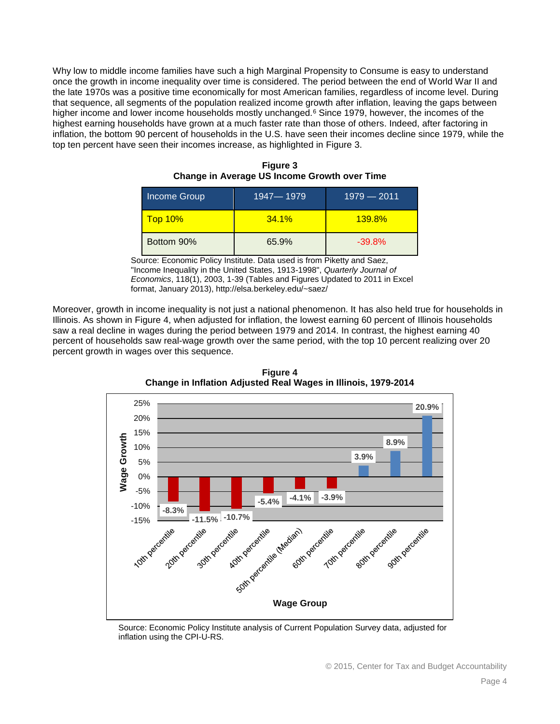Why low to middle income families have such a high Marginal Propensity to Consume is easy to understand once the growth in income inequality over time is considered. The period between the end of World War II and the late 1970s was a positive time economically for most American families, regardless of income level. During that sequence, all segments of the population realized income growth after inflation, leaving the gaps between higher income and lower income households mostly unchanged.<sup>6</sup> Since 1979, however, the incomes of the highest earning households have grown at a much faster rate than those of others. Indeed, after factoring in inflation, the bottom 90 percent of households in the U.S. have seen their incomes decline since 1979, while the top ten percent have seen their incomes increase, as highlighted in [Figure 3](#page-3-0).

<span id="page-3-0"></span>

| Income Group   | 1947-1979 | $1979 - 2011$ |
|----------------|-----------|---------------|
| <b>Top 10%</b> | $34.1\%$  | $139.8\%$     |
| Bottom 90%     | 65.9%     | $-39.8%$      |

| <b>Figure 3</b>                              |  |
|----------------------------------------------|--|
| Change in Average US Income Growth over Time |  |

Source: Economic Policy Institute. Data used is from Piketty and Saez, "Income Inequality in the United States, 1913-1998", *Quarterly Journal of Economics*, 118(1), 2003, 1-39 (Tables and Figures Updated to 2011 in Excel format, January 2013), http://elsa.berkeley.edu/~saez/

<span id="page-3-1"></span>Moreover, growth in income inequality is not just a national phenomenon. It has also held true for households in Illinois. As shown in [Figure 4](#page-3-1), when adjusted for inflation, the lowest earning 60 percent of Illinois households saw a real decline in wages during the period between 1979 and 2014. In contrast, the highest earning 40 percent of households saw real-wage growth over the same period, with the top 10 percent realizing over 20 percent growth in wages over this sequence.



**Figure 4 Change in Inflation Adjusted Real Wages in Illinois, 1979-2014**

Source: Economic Policy Institute analysis of Current Population Survey data, adjusted for inflation using the CPI-U-RS.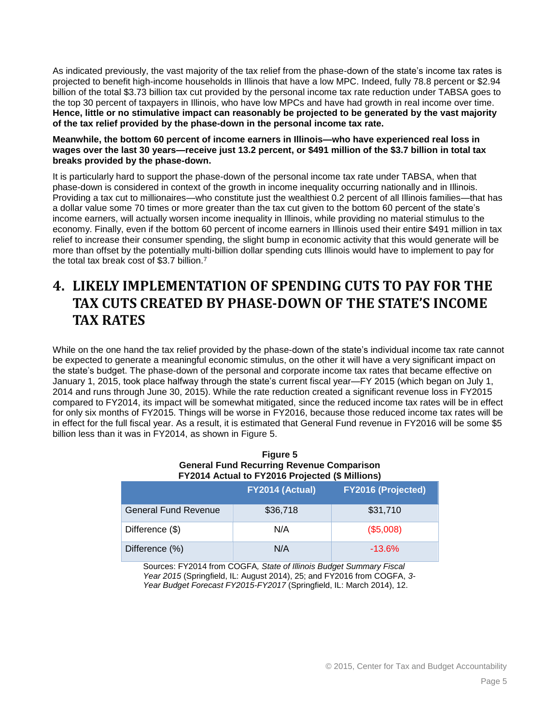As indicated previously, the vast majority of the tax relief from the phase-down of the state's income tax rates is projected to benefit high-income households in Illinois that have a low MPC. Indeed, fully 78.8 percent or \$2.94 billion of the total \$3.73 billion tax cut provided by the personal income tax rate reduction under TABSA goes to the top 30 percent of taxpayers in Illinois, who have low MPCs and have had growth in real income over time. **Hence, little or no stimulative impact can reasonably be projected to be generated by the vast majority of the tax relief provided by the phase-down in the personal income tax rate.** 

#### **Meanwhile, the bottom 60 percent of income earners in Illinois—who have experienced real loss in wages over the last 30 years—receive just 13.2 percent, or \$491 million of the \$3.7 billion in total tax breaks provided by the phase-down.**

It is particularly hard to support the phase-down of the personal income tax rate under TABSA, when that phase-down is considered in context of the growth in income inequality occurring nationally and in Illinois. Providing a tax cut to millionaires—who constitute just the wealthiest 0.2 percent of all Illinois families—that has a dollar value some 70 times or more greater than the tax cut given to the bottom 60 percent of the state's income earners, will actually worsen income inequality in Illinois, while providing no material stimulus to the economy. Finally, even if the bottom 60 percent of income earners in Illinois used their entire \$491 million in tax relief to increase their consumer spending, the slight bump in economic activity that this would generate will be more than offset by the potentially multi-billion dollar spending cuts Illinois would have to implement to pay for the total tax break cost of \$3.7 billion.<sup>7</sup>

## **4. LIKELY IMPLEMENTATION OF SPENDING CUTS TO PAY FOR THE TAX CUTS CREATED BY PHASE-DOWN OF THE STATE'S INCOME TAX RATES**

While on the one hand the tax relief provided by the phase-down of the state's individual income tax rate cannot be expected to generate a meaningful economic stimulus, on the other it will have a very significant impact on the state's budget. The phase-down of the personal and corporate income tax rates that became effective on January 1, 2015, took place halfway through the state's current fiscal year—FY 2015 (which began on July 1, 2014 and runs through June 30, 2015). While the rate reduction created a significant revenue loss in FY2015 compared to FY2014, its impact will be somewhat mitigated, since the reduced income tax rates will be in effect for only six months of FY2015. Things will be worse in FY2016, because those reduced income tax rates will be in effect for the full fiscal year. As a result, it is estimated that General Fund revenue in FY2016 will be some \$5 billion less than it was in FY2014, as shown in [Figure 5](#page-4-0).

#### **Figure 5 General Fund Recurring Revenue Comparison FY2014 Actual to FY2016 Projected (\$ Millions)**

<span id="page-4-0"></span>

|                             | FY2014 (Actual) | <b>FY2016 (Projected)</b> |
|-----------------------------|-----------------|---------------------------|
| <b>General Fund Revenue</b> | \$36,718        | \$31,710                  |
| Difference (\$)             | N/A             | (\$5,008)                 |
| Difference (%)              | N/A             | $-13.6%$                  |

Sources: FY2014 from COGFA*, State of Illinois Budget Summary Fiscal Year 2015* (Springfield, IL: August 2014), 25; and FY2016 from COGFA, *3- Year Budget Forecast FY2015-FY2017* (Springfield, IL: March 2014), 12.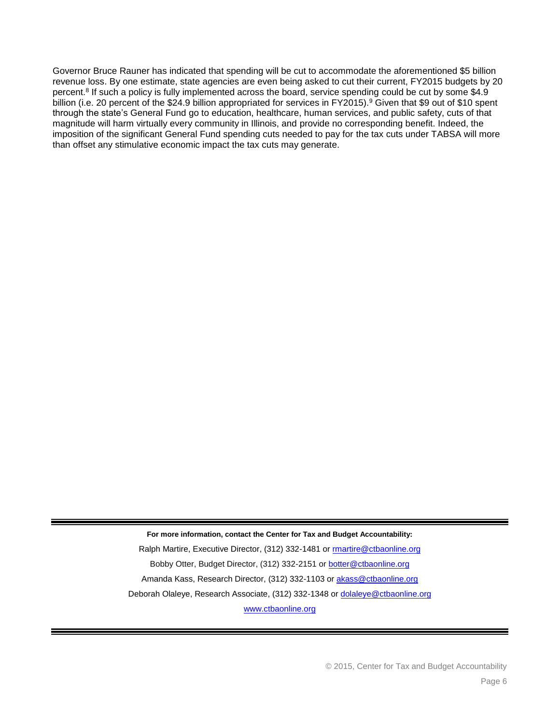Governor Bruce Rauner has indicated that spending will be cut to accommodate the aforementioned \$5 billion revenue loss. By one estimate, state agencies are even being asked to cut their current, FY2015 budgets by 20 percent.<sup>8</sup> If such a policy is fully implemented across the board, service spending could be cut by some \$4.9 billion (i.e. 20 percent of the \$24.9 billion appropriated for services in FY2015).<sup>9</sup> Given that \$9 out of \$10 spent through the state's General Fund go to education, healthcare, human services, and public safety, cuts of that magnitude will harm virtually every community in Illinois, and provide no corresponding benefit. Indeed, the imposition of the significant General Fund spending cuts needed to pay for the tax cuts under TABSA will more than offset any stimulative economic impact the tax cuts may generate.

**For more information, contact the Center for Tax and Budget Accountability:**

Ralph Martire, Executive Director, (312) 332-1481 o[r rmartire@ctbaonline.org](mailto:rmartire@ctbaonline.org) Bobby Otter, Budget Director, (312) 332-2151 or [botter@ctbaonline.org](mailto:botter@ctbaonline.org) Amanda Kass, Research Director, (312) 332-1103 or [akass@ctbaonline.org](mailto:akass@ctbaonline.org) Deborah Olaleye, Research Associate, (312) 332-1348 or [dolaleye@ctbaonline.org](file://CTBAServer/Shared/BUDGET%20AND%20TAX/Revenue/Income%20Tax/2015%20Temp%20Income%20Tax%20Phase%20Down/dolaleye@ctbaonline.org) www.ctbaonline.org